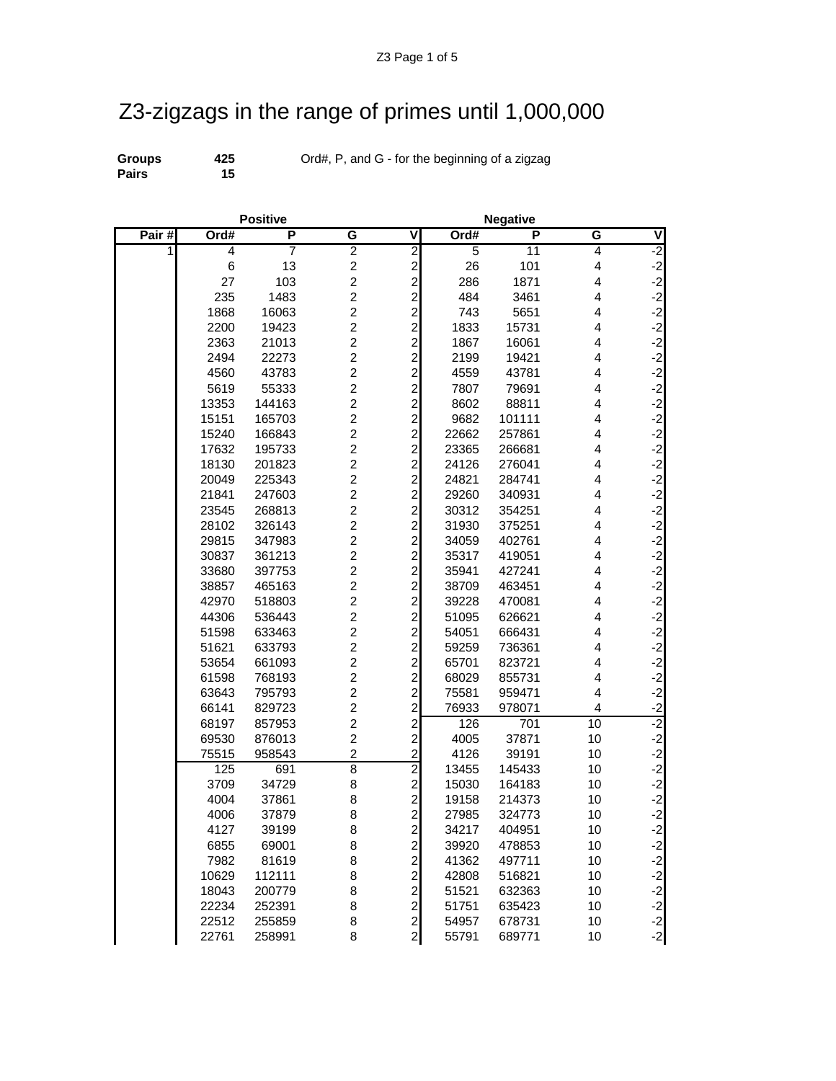## Z3-zigzags in the range of primes until 1,000,000

**Pairs** 

**Groups 425** Ord#, P, and G - for the beginning of a zigzag<br>**Pairs 15** 

|          | <b>Positive</b> |        |                  |                                       | <b>Negative</b> |        |                         |                                                                                                       |  |
|----------|-----------------|--------|------------------|---------------------------------------|-----------------|--------|-------------------------|-------------------------------------------------------------------------------------------------------|--|
| Pair $#$ | Ord#            | P      | G                | ٧                                     | Ord#            | P      | G                       | ٧                                                                                                     |  |
| 1        | $\overline{4}$  | 7      | $\overline{2}$   | $\overline{2}$                        | $\overline{5}$  | 11     | 4                       | $-2$                                                                                                  |  |
|          | 6               | 13     | $\overline{c}$   | $\mathbf{2}$                          | 26              | 101    | $\overline{\mathbf{4}}$ | دا دا دا دا دا دا                                                                                     |  |
|          | 27              | 103    | $\overline{c}$   | $\frac{2}{2}$                         | 286             | 1871   | $\overline{\mathbf{4}}$ |                                                                                                       |  |
|          | 235             | 1483   | $\overline{c}$   |                                       | 484             | 3461   | 4                       |                                                                                                       |  |
|          | 1868            | 16063  | $\overline{c}$   | $\begin{array}{c} 2 \\ 2 \end{array}$ | 743             | 5651   | 4                       |                                                                                                       |  |
|          | 2200            | 19423  | $\overline{c}$   |                                       | 1833            | 15731  | $\overline{4}$          |                                                                                                       |  |
|          | 2363            | 21013  | $\overline{c}$   |                                       | 1867            | 16061  | 4                       |                                                                                                       |  |
|          | 2494            | 22273  | $\overline{2}$   | $\overline{2}$                        | 2199            | 19421  | 4                       | $-2$                                                                                                  |  |
|          | 4560            | 43783  | $\overline{2}$   | $\overline{2}$                        | 4559            | 43781  | 4                       | $-2$                                                                                                  |  |
|          | 5619            | 55333  | $\overline{c}$   | $\overline{a}$                        | 7807            | 79691  | 4                       | دا دا دا دا دا<br>2- 2- دا                                                                            |  |
|          | 13353           | 144163 | $\overline{c}$   | $\overline{\mathbf{c}}$               | 8602            | 88811  | 4                       |                                                                                                       |  |
|          | 15151           | 165703 | $\overline{c}$   | $\overline{\mathbf{c}}$               | 9682            | 101111 | 4                       |                                                                                                       |  |
|          | 15240           | 166843 | $\boldsymbol{2}$ | $\overline{\mathbf{c}}$               | 22662           | 257861 | $\overline{4}$          |                                                                                                       |  |
|          | 17632           | 195733 | $\overline{c}$   | $\overline{c}$                        | 23365           | 266681 | 4                       |                                                                                                       |  |
|          | 18130           | 201823 | $\overline{2}$   | $\overline{a}$                        | 24126           | 276041 | 4                       | $-2$                                                                                                  |  |
|          | 20049           | 225343 | $\overline{c}$   | $\overline{c}$                        | 24821           | 284741 | 4                       | $-2$                                                                                                  |  |
|          | 21841           | 247603 | $\overline{2}$   | $\overline{\mathbf{c}}$               | 29260           | 340931 | $\overline{\mathbf{4}}$ |                                                                                                       |  |
|          | 23545           | 268813 | $\overline{c}$   | $\overline{\mathbf{c}}$               | 30312           | 354251 | 4                       |                                                                                                       |  |
|          | 28102           | 326143 | $\boldsymbol{2}$ | $\overline{\mathbf{c}}$               | 31930           | 375251 | 4                       | دٰ دٰ دٰ دٰ دٰ د                                                                                      |  |
|          | 29815           | 347983 | $\overline{c}$   | $\overline{\mathbf{c}}$               | 34059           | 402761 | 4                       |                                                                                                       |  |
|          | 30837           | 361213 | $\boldsymbol{2}$ | $\overline{c}$                        | 35317           | 419051 | 4                       |                                                                                                       |  |
|          | 33680           | 397753 | $\overline{c}$   | $\overline{a}$                        | 35941           | 427241 | 4                       |                                                                                                       |  |
|          | 38857           | 465163 | $\overline{c}$   | $\overline{c}$                        | 38709           | 463451 | 4                       | $-2$                                                                                                  |  |
|          | 42970           | 518803 | $\overline{c}$   | $\overline{\mathbf{c}}$               | 39228           | 470081 | $\overline{\mathbf{4}}$ | $-2$<br>$-2$<br>$-2$                                                                                  |  |
|          | 44306           | 536443 | $\overline{c}$   | $\overline{\mathbf{c}}$               | 51095           | 626621 | 4                       |                                                                                                       |  |
|          | 51598           | 633463 | $\overline{c}$   | $\overline{\mathbf{c}}$               | 54051           | 666431 | 4                       |                                                                                                       |  |
|          | 51621           | 633793 | $\overline{c}$   | $\overline{\mathbf{c}}$               | 59259           | 736361 | $\overline{4}$          | $-2$<br>$-2$<br>$-2$                                                                                  |  |
|          | 53654           | 661093 | $\overline{c}$   | $\overline{c}$                        | 65701           | 823721 | 4                       |                                                                                                       |  |
|          | 61598           | 768193 | $\overline{c}$   | $\overline{c}$                        | 68029           | 855731 | $\overline{\mathbf{4}}$ |                                                                                                       |  |
|          | 63643           | 795793 | $\overline{c}$   | $\overline{a}$                        | 75581           | 959471 | $\overline{\mathbf{4}}$ | $-2$                                                                                                  |  |
|          | 66141           | 829723 | $\overline{c}$   | $\overline{a}$                        | 76933           | 978071 | 4                       | $-2$                                                                                                  |  |
|          | 68197           | 857953 | $\overline{c}$   | $\overline{\mathbf{c}}$               | 126             | 701    | 10                      | $-2$                                                                                                  |  |
|          | 69530           | 876013 | $\overline{c}$   | $\overline{\mathbf{c}}$               | 4005            | 37871  | 10                      | $-2$                                                                                                  |  |
|          | 75515           | 958543 | $\overline{c}$   | $\overline{\mathbf{c}}$               | 4126            | 39191  | 10                      | $-2$<br>$-2$<br>$-2$                                                                                  |  |
|          | 125             | 691    | $\overline{8}$   | $\overline{2}$                        | 13455           | 145433 | 10                      |                                                                                                       |  |
|          | 3709            | 34729  | 8                | $\overline{c}$                        | 15030           | 164183 | 10                      |                                                                                                       |  |
|          | 4004            | 37861  | 8                | $\overline{c}$                        | 19158           | 214373 | 10                      | $-2$                                                                                                  |  |
|          | 4006            | 37879  | 8                | $\mathbf{2}$                          | 27985           | 324773 | 10                      | $-2$                                                                                                  |  |
|          | 4127            | 39199  | 8                | $\mathbf{2}$                          | 34217           | 404951 | 10                      | $-2$                                                                                                  |  |
|          | 6855            | 69001  | 8                | $\overline{\mathbf{c}}$               | 39920           | 478853 | 10                      | $-2$                                                                                                  |  |
|          | 7982            | 81619  | 8                | $\overline{\mathbf{c}}$               | 41362           | 497711 | 10                      |                                                                                                       |  |
|          | 10629           | 112111 | 8                | $\overline{\mathbf{c}}$               | 42808           | 516821 | 10                      | د<br>-<br>-<br>-<br>-<br>-<br>-<br>-<br>-<br>-<br>-<br>-<br><br><br><br><br><br><br><br><br><br><br>- |  |
|          | 18043           | 200779 | 8                | $\overline{a}$                        | 51521           | 632363 | 10                      |                                                                                                       |  |
|          | 22234           | 252391 | 8                | $\mathbf{2}$                          | 51751           | 635423 | 10                      |                                                                                                       |  |
|          | 22512           | 255859 | 8                | $\mathbf{2}$                          | 54957           | 678731 | 10                      | $\frac{-2}{-2}$                                                                                       |  |
|          | 22761           | 258991 | 8                | $\mathbf{2}$                          | 55791           | 689771 | 10                      |                                                                                                       |  |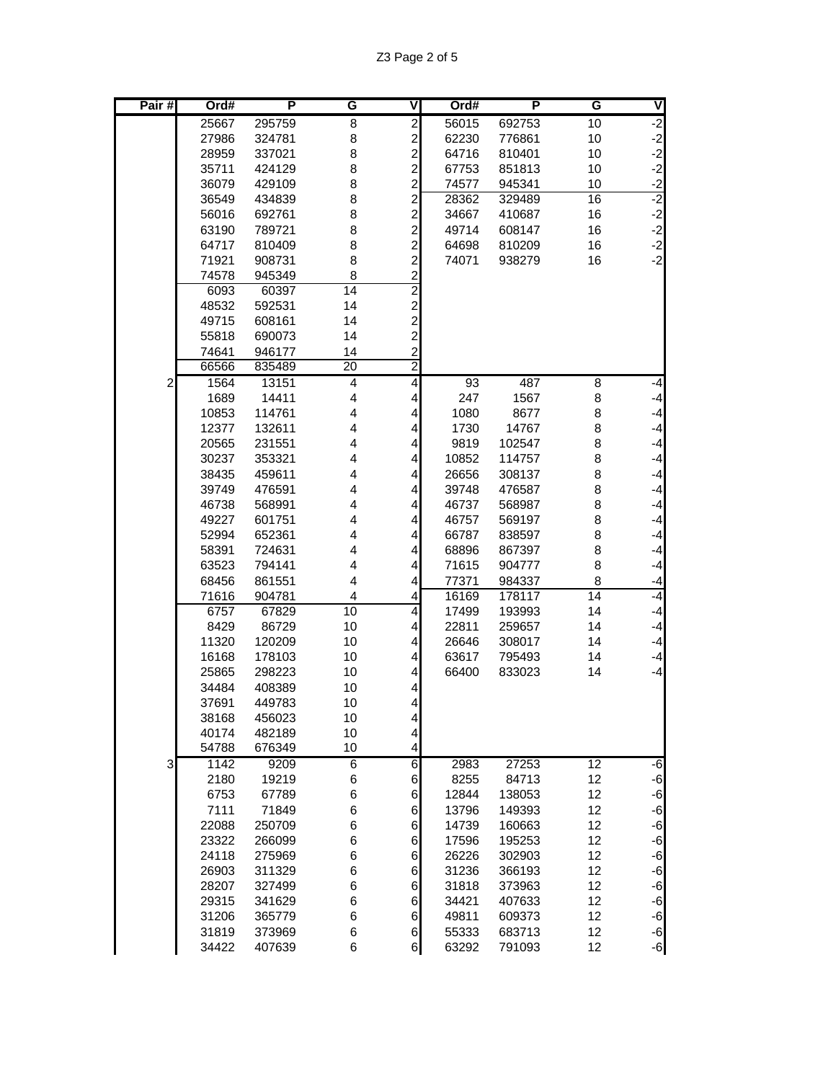| Pair#          | Ord#           | P                | G                       | V                                            | Ord#           | Р                | G               | ◀                    |
|----------------|----------------|------------------|-------------------------|----------------------------------------------|----------------|------------------|-----------------|----------------------|
|                | 25667          | 295759           | 8                       | $\overline{2}$                               | 56015          | 692753           | 10              | $-2$                 |
|                | 27986          | 324781           | 8                       | $\overline{c}$                               | 62230          | 776861           | 10              | $-2$                 |
|                | 28959          | 337021           | 8                       | $\overline{c}$                               | 64716          | 810401           | 10              | $-2$                 |
|                | 35711          | 424129           | 8                       | $\overline{c}$                               | 67753          | 851813           | 10              | $-2$                 |
|                | 36079          | 429109           | 8                       |                                              | 74577          | 945341           | 10              |                      |
|                | 36549          | 434839           | 8                       | $\begin{array}{c} 2 \\ 2 \\ 2 \end{array}$   | 28362          | 329489           | $\overline{16}$ | $\frac{-2}{-2}$      |
|                | 56016          | 692761           | 8                       |                                              | 34667          | 410687           | 16              |                      |
|                | 63190          | 789721           | 8                       |                                              | 49714          | 608147           | 16              | $-2$<br>$-2$<br>$-2$ |
|                | 64717          | 810409           | 8                       | $\frac{2}{2}$                                | 64698          | 810209           | 16              |                      |
|                | 71921          | 908731           | 8                       | $\overline{c}$                               | 74071          | 938279           | 16              | $-2$                 |
|                | 74578          | 945349           | 8                       | $\overline{\mathbf{c}}$                      |                |                  |                 |                      |
|                | 6093           | 60397            | 14                      | $\overline{c}$                               |                |                  |                 |                      |
|                | 48532          | 592531           | 14                      |                                              |                |                  |                 |                      |
|                | 49715          | 608161           | 14                      |                                              |                |                  |                 |                      |
|                | 55818          | 690073           | 14                      |                                              |                |                  |                 |                      |
|                | 74641          | 946177           | 14                      | $\begin{array}{c}\n2 \\ 2 \\ 2\n\end{array}$ |                |                  |                 |                      |
|                | 66566          | 835489           | $\overline{20}$         | $\overline{2}$                               |                |                  |                 |                      |
| $\overline{c}$ | 1564           | 13151            | 4                       | $\overline{\mathbf{4}}$                      | 93             | 487              | $\overline{8}$  | $-4$                 |
|                | 1689           | 14411            | $\overline{\mathbf{4}}$ | $\overline{\mathbf{4}}$                      | 247            | 1567             | 8               | $-4$                 |
|                | 10853          | 114761           | 4                       | 4                                            | 1080           | 8677             | 8               | $-4$                 |
|                | 12377          | 132611           | 4                       | 4                                            | 1730           | 14767            | 8               | $-4$                 |
|                | 20565          | 231551           | 4                       | 4                                            | 9819           | 102547           | 8               | $-4$                 |
|                | 30237          | 353321           | 4                       | $\overline{\mathbf{4}}$                      | 10852          | 114757           | 8               | $-4$                 |
|                | 38435          | 459611           | $\overline{\mathbf{4}}$ | $\overline{\mathbf{4}}$                      | 26656          | 308137           | 8               | $-4$                 |
|                | 39749          | 476591           | 4                       | 4                                            | 39748          | 476587           | 8               | $-4$                 |
|                | 46738          | 568991           | 4                       | $\overline{\mathbf{4}}$                      | 46737          | 568987           | 8               | $-4$                 |
|                | 49227          | 601751           | 4                       | 4                                            | 46757          | 569197           | 8               | $-4$                 |
|                | 52994          | 652361           | 4                       | 4                                            | 66787          | 838597           | 8               | $-4$                 |
|                | 58391          | 724631           | 4                       | 4                                            | 68896          | 867397           | 8               | $-4$                 |
|                | 63523          | 794141           | 4                       | 4                                            | 71615          | 904777           | 8               | $-4$                 |
|                | 68456          | 861551           | 4                       | 4                                            | 77371          | 984337           | 8               | $-4$                 |
|                | 71616          | 904781           | 4                       | 4                                            | 16169          | 178117           | $\overline{14}$ | $-4$                 |
|                | 6757           | 67829            | 10                      | $\overline{4}$                               | 17499          | 193993           | 14              | $-4$                 |
|                | 8429           | 86729            | 10                      | 4                                            | 22811          | 259657           | 14              | $-4$                 |
|                | 11320          | 120209           | 10                      | 4                                            | 26646          | 308017           | 14              | $-4$                 |
|                | 16168          | 178103           | 10                      | 4                                            | 63617          | 795493           | 14              | $-4$                 |
|                | 25865          | 298223           | 10                      | 4                                            | 66400          | 833023           | 14              | $-4$                 |
|                | 34484          | 408389           | 10                      | $\overline{\mathbf{4}}$                      |                |                  |                 |                      |
|                | 37691          | 449783           | 10                      | $\vert$                                      |                |                  |                 |                      |
|                | 38168          | 456023           | 10                      | $\overline{a}$                               |                |                  |                 |                      |
|                | 40174          | 482189           | 10                      | $\overline{\mathbf{r}}$                      |                |                  |                 |                      |
|                | 54788          | 676349           | 10                      | 4                                            |                |                  |                 |                      |
| 3              | 1142           | 9209             | 6                       | $\overline{6}$                               | 2983           | 27253            | $\overline{12}$ | -6                   |
|                | 2180           | 19219            | 6                       | $6 \,$                                       | 8255           | 84713            | 12              | $-6$                 |
|                | 6753           | 67789            | 6                       | $\,$ 6 $\,$                                  | 12844          | 138053           | 12              | $-6$<br>$-6$         |
|                | 7111           | 71849            | 6                       | $\,$ 6 $\,$                                  | 13796          | 149393           | 12              |                      |
|                | 22088          | 250709           | 6                       | $\,$ 6 $\,$                                  | 14739          | 160663           | 12              | $-6$                 |
|                | 23322          | 266099<br>275969 | 6<br>6                  | 6                                            | 17596<br>26226 | 195253           | 12<br>12        | $-6$                 |
|                | 24118<br>26903 |                  | 6                       | 6<br>6                                       |                | 302903           | 12              | $-6$<br>$-6$         |
|                | 28207          | 311329<br>327499 | 6                       | 6                                            | 31236<br>31818 | 366193<br>373963 | 12              | $-6$                 |
|                | 29315          | 341629           | 6                       | 6                                            | 34421          | 407633           | 12              | $-6$                 |
|                | 31206          | 365779           | 6                       | 6                                            | 49811          | 609373           | 12              | $-6$                 |
|                | 31819          | 373969           | 6                       | $6 \mid$                                     | 55333          | 683713           | 12              | $-6$                 |
|                | 34422          | 407639           | 6                       | $6 \mid$                                     | 63292          | 791093           | 12              | $-6$                 |
|                |                |                  |                         |                                              |                |                  |                 |                      |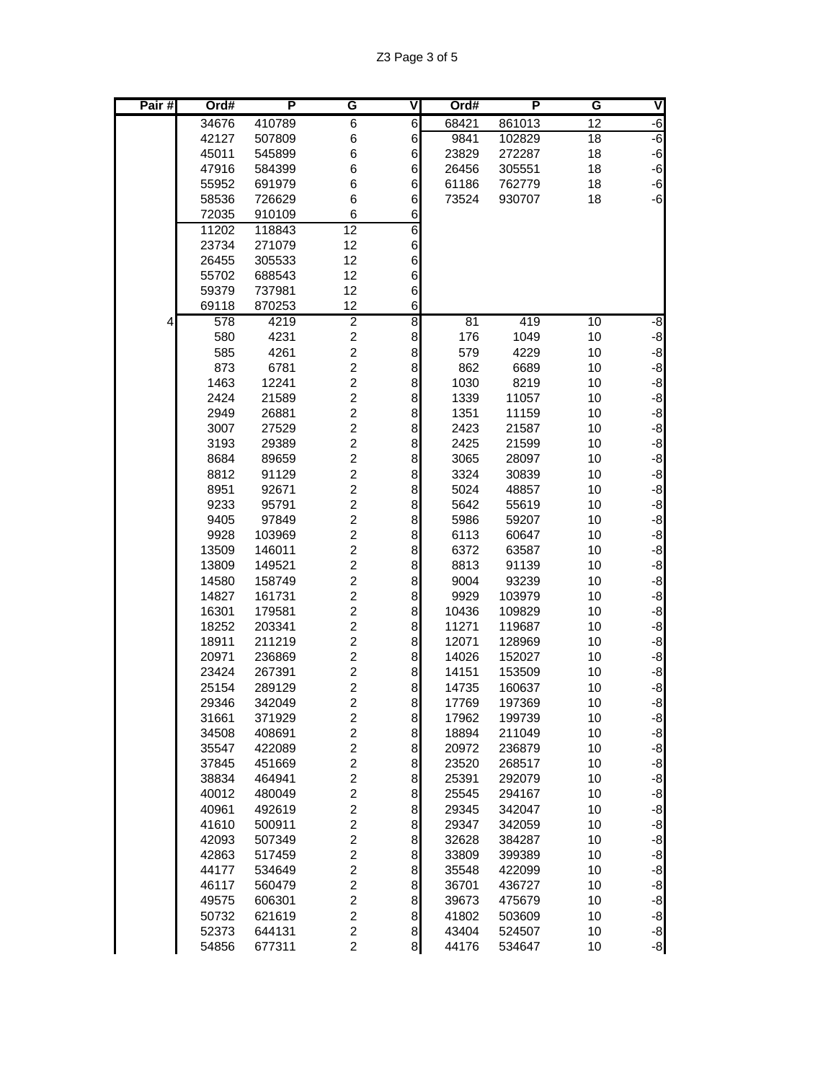| Pair# | Ord#           | Р                | G                                                  | ٧                    | Ord#           | P                | G               | V                    |
|-------|----------------|------------------|----------------------------------------------------|----------------------|----------------|------------------|-----------------|----------------------|
|       | 34676          | 410789           | 6                                                  | $\,$ 6               | 68421          | 861013           | 12              | $-6$                 |
|       | 42127          | 507809           | 6                                                  | $\,$ 6               | 9841           | 102829           | $\overline{18}$ | $-6$                 |
|       | 45011          | 545899           | 6                                                  | 6                    | 23829          | 272287           | 18              | $-6$                 |
|       | 47916          | 584399           | 6                                                  | 6                    | 26456          | 305551           | 18              | $-6$                 |
|       | 55952          | 691979           | 6                                                  | 6                    | 61186          | 762779           | 18              | $-6$                 |
|       | 58536          | 726629           | 6                                                  | 6                    | 73524          | 930707           | 18              | -6                   |
|       | 72035          | 910109           | 6                                                  | 6                    |                |                  |                 |                      |
|       | 11202          | 118843           | $\overline{12}$                                    | 6                    |                |                  |                 |                      |
|       | 23734          | 271079           | 12                                                 | $\,$ 6 $\,$          |                |                  |                 |                      |
|       | 26455          | 305533           | 12                                                 | 6                    |                |                  |                 |                      |
|       | 55702          | 688543           | 12                                                 | 6                    |                |                  |                 |                      |
|       | 59379          | 737981           | 12                                                 | 6                    |                |                  |                 |                      |
|       | 69118          | 870253           | 12                                                 | 6                    |                |                  |                 |                      |
| 4     | 578            | 4219             | $\overline{2}$                                     | 8                    | 81             | 419              | 10              | -8                   |
|       | 580            | 4231             | $\overline{\mathbf{c}}$                            | 8                    | 176            | 1049             | 10              | $-8$                 |
|       | 585            | 4261             | $\overline{c}$                                     | 8                    | 579            | 4229             | 10              | $-8$                 |
|       | 873            | 6781             | $\overline{c}$                                     | 8                    | 862            | 6689             | 10              | $-8$                 |
|       | 1463           | 12241            | $\overline{c}$                                     | 8                    | 1030           | 8219             | 10              | $-8$                 |
|       | 2424           | 21589            | $\overline{\mathbf{c}}$                            | 8                    | 1339           | 11057            | 10              | -8                   |
|       | 2949<br>3007   | 26881            | $\overline{\mathbf{c}}$<br>$\overline{\mathbf{c}}$ | 8                    | 1351<br>2423   | 11159            | 10              | $-8$                 |
|       |                | 27529            | $\overline{\mathbf{c}}$                            | 8<br>8               | 2425           | 21587            | 10              | $-8$                 |
|       | 3193<br>8684   | 29389<br>89659   | $\overline{c}$                                     | 8                    | 3065           | 21599<br>28097   | 10<br>10        | $-8$<br>$-8$         |
|       | 8812           | 91129            | $\overline{c}$                                     | 8                    | 3324           | 30839            | 10              | $-8$                 |
|       | 8951           | 92671            | $\overline{c}$                                     | 8                    | 5024           | 48857            | 10              | $-8$                 |
|       | 9233           | 95791            | $\overline{c}$                                     | 8                    | 5642           | 55619            | 10              | $-8$                 |
|       | 9405           | 97849            | $\overline{\mathbf{c}}$                            | 8                    | 5986           | 59207            | 10              | $-8$                 |
|       | 9928           | 103969           | $\overline{\mathbf{c}}$                            | 8                    | 6113           | 60647            | 10              | $-8$                 |
|       | 13509          | 146011           | $\overline{\mathbf{c}}$                            | 8                    | 6372           | 63587            | 10              | $-8$                 |
|       | 13809          | 149521           | $\overline{\mathbf{c}}$                            | 8                    | 8813           | 91139            | 10              | $-8$                 |
|       | 14580          | 158749           | $\overline{2}$                                     | 8                    | 9004           | 93239            | 10              | $-8$                 |
|       | 14827          | 161731           | $\overline{c}$                                     | 8                    | 9929           | 103979           | 10              | $-8$                 |
|       | 16301          | 179581           | $\overline{c}$                                     | 8                    | 10436          | 109829           | 10              | $-8$                 |
|       | 18252          | 203341           | $\overline{c}$                                     | 8                    | 11271          | 119687           | 10              | $-8$                 |
|       | 18911          | 211219           | $\overline{\mathbf{c}}$                            | 8                    | 12071          | 128969           | 10              | $-8$                 |
|       | 20971          | 236869           | $\overline{\mathbf{c}}$                            | 8                    | 14026          | 152027           | 10              | $-8$                 |
|       | 23424          | 267391           | $\overline{\mathbf{c}}$                            | 8                    | 14151          | 153509           | 10              | -8                   |
|       | 25154          | 289129           | $\overline{c}$                                     | 8                    | 14735          | 160637           | 10              | $-8$                 |
|       | 29346          | 342049           | $\overline{c}$                                     | 8                    | 17769          | 197369           | 10              | $-8$                 |
|       | 31661          | 371929           | $\overline{\mathbf{c}}$                            | 8                    | 17962          | 199739           | 10              | $-8$                 |
|       | 34508          | 408691           | $\overline{\mathbf{c}}$                            | 8                    | 18894          | 211049           | 10              | $-8$                 |
|       | 35547          | 422089           | $\overline{\mathbf{c}}$                            | 8                    | 20972          | 236879           | 10              |                      |
|       | 37845          | 451669           | $\overline{\mathbf{c}}$                            | 8                    | 23520          | 268517           | 10              | $rac{-8}{8}$         |
|       | 38834          | 464941           | $\overline{\mathbf{c}}$                            | 8                    | 25391          | 292079           | 10              |                      |
|       | 40012          | 480049           | $\overline{c}$                                     | $\bf{8}$             | 25545          | 294167           | 10              | $-8$                 |
|       | 40961          | 492619           | $\overline{c}$                                     | $\bf{8}$             | 29345          | 342047           | 10              | $-8$                 |
|       | 41610          | 500911           | $\overline{c}$                                     | 8                    | 29347          | 342059           | 10              | $-8$                 |
|       | 42093          | 507349           | $\overline{\mathbf{c}}$                            | 8                    | 32628          | 384287           | 10              | $-8$                 |
|       | 42863          | 517459           | $\overline{\mathbf{c}}$                            | 8                    | 33809          | 399389           | 10              | $-8$                 |
|       | 44177          | 534649           | $\overline{\mathbf{c}}$                            | 8                    | 35548          | 422099           | 10              | $-8$<br>$-8$<br>$-8$ |
|       | 46117          | 560479           | $\overline{\mathbf{c}}$                            | 8                    | 36701          | 436727           | 10              |                      |
|       | 49575          | 606301           | $\overline{c}$                                     | $\bf{8}$             | 39673          | 475679           | 10              |                      |
|       | 50732          | 621619           | $\overline{c}$                                     | $\bf{8}$             | 41802          | 503609           | 10<br>10        | $-8$                 |
|       | 52373<br>54856 | 644131<br>677311 | $\overline{\mathbf{c}}$<br>$\overline{c}$          | $\bf{8}$<br>$\bf{8}$ | 43404<br>44176 | 524507<br>534647 | 10              | $-8$<br>$-8$         |
|       |                |                  |                                                    |                      |                |                  |                 |                      |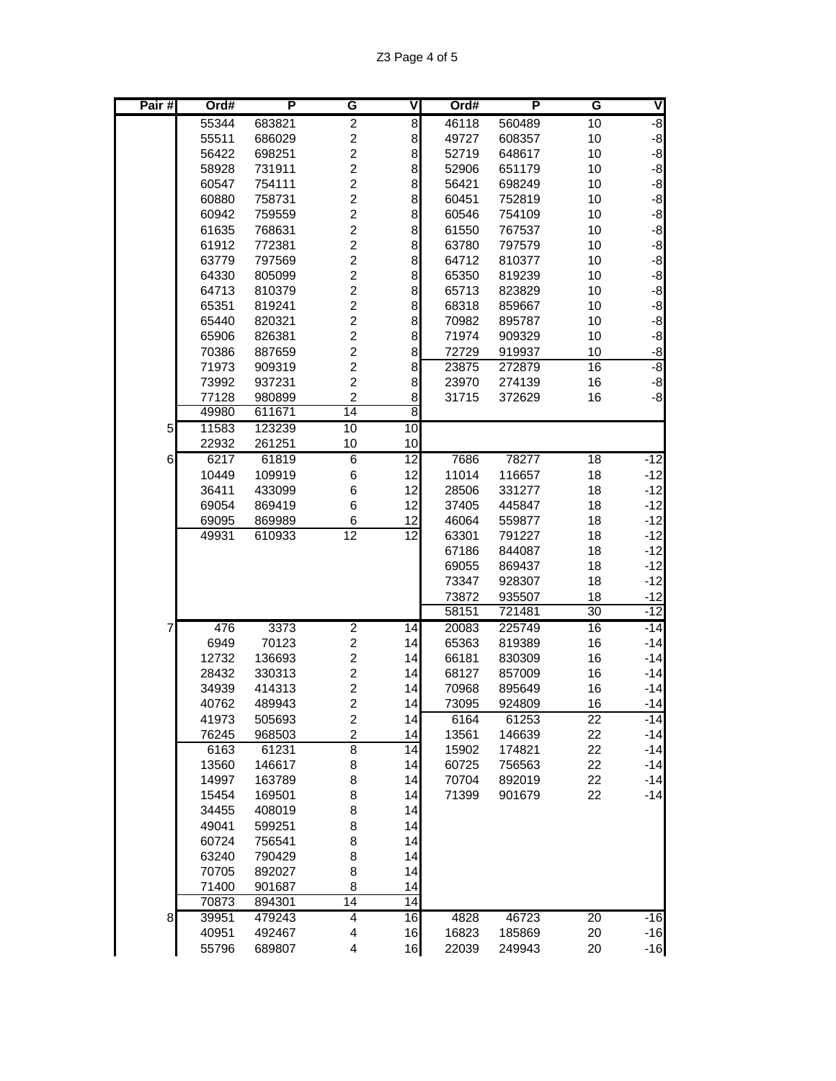| 55344<br>683821<br>$\overline{\mathbf{c}}$<br>8<br>46118<br>560489<br>10<br>$\overline{\mathbf{c}}$<br>8<br>55511<br>686029<br>49727<br>10<br>608357<br>$\boldsymbol{2}$<br>8<br>56422<br>698251<br>52719<br>648617<br>10<br>$\overline{c}$<br>8<br>58928<br>731911<br>52906<br>651179<br>10<br>$\overline{c}$<br>8<br>60547<br>754111<br>56421<br>698249<br>10<br>$\overline{2}$<br>8<br>60880<br>758731<br>60451<br>752819<br>10<br>$\boldsymbol{2}$<br>8<br>60942<br>759559<br>60546<br>754109<br>10<br>$\overline{\mathbf{c}}$<br>8<br>61635<br>768631<br>61550<br>767537<br>10<br>$\boldsymbol{2}$<br>8<br>10<br>61912<br>772381<br>63780<br>797579<br>$\overline{c}$<br>8<br>63779<br>797569<br>64712<br>810377<br>10<br>$\overline{c}$<br>8<br>64330<br>805099<br>65350<br>819239<br>10<br>$\overline{c}$<br>8<br>64713<br>810379<br>65713<br>823829<br>10<br>$\overline{2}$<br>8<br>65351<br>819241<br>68318<br>10<br>859667<br>$\overline{c}$<br>8<br>65440<br>820321<br>70982<br>10<br>895787<br>$\boldsymbol{2}$<br>8<br>65906<br>826381<br>71974<br>909329<br>10<br>$\overline{c}$<br>8<br>70386<br>887659<br>72729<br>919937<br>10<br>$\overline{c}$<br>8<br>71973<br>909319<br>23875<br>16<br>272879<br>$\overline{c}$<br>8<br>16<br>73992<br>937231<br>23970<br>274139<br>$\overline{c}$<br>77128<br>8<br>980899<br>31715<br>372629<br>16<br>$\overline{14}$<br>8<br>49980<br>611671<br>10<br>10<br>11583<br>123239<br>5<br>22932<br>261251<br>10<br>10<br>6217<br>$\overline{12}$<br>6<br>61819<br>6<br>7686<br>78277<br>18<br>10449<br>109919<br>6<br>12<br>11014<br>18<br>116657<br>$\,6$<br>36411<br>433099<br>12<br>28506<br>18<br>331277<br>$\,6$<br>12<br>69054<br>869419<br>37405<br>445847<br>18<br>69095<br>869989<br>6<br>12<br>46064<br>18<br>559877<br>$\overline{12}$<br>12<br>63301<br>791227<br>18<br>49931<br>610933<br>67186<br>844087<br>18<br>69055<br>869437<br>18<br>73347<br>928307<br>18<br>73872<br>935507<br>18<br>30<br>58151<br>721481<br>476<br>3373<br>$\overline{2}$<br>20083<br>16<br>14<br>225749<br>7<br>$\overline{c}$<br>70123<br>65363<br>16<br>6949<br>14<br>819389<br>$\boldsymbol{2}$<br>16<br>12732<br>136693<br>14<br>66181<br>830309<br>$\boldsymbol{2}$<br>14<br>16<br>28432<br>330313<br>68127<br>857009<br>$\overline{c}$<br>34939<br>414313<br>14<br>70968<br>895649<br>16<br>$\overline{c}$<br>14<br>16<br>40762<br>489943<br>73095<br>924809<br>505693<br>$\overline{\mathbf{c}}$<br>14<br>41973<br>6164<br>61253<br>22<br>$\overline{c}$<br>14<br>22<br>76245<br>968503<br>13561<br>146639<br>$\overline{8}$<br>61231<br>14<br>15902<br>22<br>6163<br>174821<br>8<br>14<br>22<br>13560<br>146617<br>60725<br>756563<br>8<br>14<br>22<br>14997<br>163789<br>70704<br>892019<br>15454<br>169501<br>8<br>14<br>71399<br>901679<br>22 | Pair# | Ord# | P | G | V | Ord# | P | G | V     |
|----------------------------------------------------------------------------------------------------------------------------------------------------------------------------------------------------------------------------------------------------------------------------------------------------------------------------------------------------------------------------------------------------------------------------------------------------------------------------------------------------------------------------------------------------------------------------------------------------------------------------------------------------------------------------------------------------------------------------------------------------------------------------------------------------------------------------------------------------------------------------------------------------------------------------------------------------------------------------------------------------------------------------------------------------------------------------------------------------------------------------------------------------------------------------------------------------------------------------------------------------------------------------------------------------------------------------------------------------------------------------------------------------------------------------------------------------------------------------------------------------------------------------------------------------------------------------------------------------------------------------------------------------------------------------------------------------------------------------------------------------------------------------------------------------------------------------------------------------------------------------------------------------------------------------------------------------------------------------------------------------------------------------------------------------------------------------------------------------------------------------------------------------------------------------------------------------------------------------------------------------------------------------------------------------------------------------------------------------------------------------------------------------------------------------------------------------------------------------------------------------------------------------------------------------------------------------------------------------------------------------------------------------------------------------------------------------------------------------------------------------------------------------------------------------|-------|------|---|---|---|------|---|---|-------|
|                                                                                                                                                                                                                                                                                                                                                                                                                                                                                                                                                                                                                                                                                                                                                                                                                                                                                                                                                                                                                                                                                                                                                                                                                                                                                                                                                                                                                                                                                                                                                                                                                                                                                                                                                                                                                                                                                                                                                                                                                                                                                                                                                                                                                                                                                                                                                                                                                                                                                                                                                                                                                                                                                                                                                                                                    |       |      |   |   |   |      |   |   | $-8$  |
|                                                                                                                                                                                                                                                                                                                                                                                                                                                                                                                                                                                                                                                                                                                                                                                                                                                                                                                                                                                                                                                                                                                                                                                                                                                                                                                                                                                                                                                                                                                                                                                                                                                                                                                                                                                                                                                                                                                                                                                                                                                                                                                                                                                                                                                                                                                                                                                                                                                                                                                                                                                                                                                                                                                                                                                                    |       |      |   |   |   |      |   |   | $-8$  |
|                                                                                                                                                                                                                                                                                                                                                                                                                                                                                                                                                                                                                                                                                                                                                                                                                                                                                                                                                                                                                                                                                                                                                                                                                                                                                                                                                                                                                                                                                                                                                                                                                                                                                                                                                                                                                                                                                                                                                                                                                                                                                                                                                                                                                                                                                                                                                                                                                                                                                                                                                                                                                                                                                                                                                                                                    |       |      |   |   |   |      |   |   | $-8$  |
|                                                                                                                                                                                                                                                                                                                                                                                                                                                                                                                                                                                                                                                                                                                                                                                                                                                                                                                                                                                                                                                                                                                                                                                                                                                                                                                                                                                                                                                                                                                                                                                                                                                                                                                                                                                                                                                                                                                                                                                                                                                                                                                                                                                                                                                                                                                                                                                                                                                                                                                                                                                                                                                                                                                                                                                                    |       |      |   |   |   |      |   |   | $-8$  |
|                                                                                                                                                                                                                                                                                                                                                                                                                                                                                                                                                                                                                                                                                                                                                                                                                                                                                                                                                                                                                                                                                                                                                                                                                                                                                                                                                                                                                                                                                                                                                                                                                                                                                                                                                                                                                                                                                                                                                                                                                                                                                                                                                                                                                                                                                                                                                                                                                                                                                                                                                                                                                                                                                                                                                                                                    |       |      |   |   |   |      |   |   | $-8$  |
|                                                                                                                                                                                                                                                                                                                                                                                                                                                                                                                                                                                                                                                                                                                                                                                                                                                                                                                                                                                                                                                                                                                                                                                                                                                                                                                                                                                                                                                                                                                                                                                                                                                                                                                                                                                                                                                                                                                                                                                                                                                                                                                                                                                                                                                                                                                                                                                                                                                                                                                                                                                                                                                                                                                                                                                                    |       |      |   |   |   |      |   |   | $-8$  |
|                                                                                                                                                                                                                                                                                                                                                                                                                                                                                                                                                                                                                                                                                                                                                                                                                                                                                                                                                                                                                                                                                                                                                                                                                                                                                                                                                                                                                                                                                                                                                                                                                                                                                                                                                                                                                                                                                                                                                                                                                                                                                                                                                                                                                                                                                                                                                                                                                                                                                                                                                                                                                                                                                                                                                                                                    |       |      |   |   |   |      |   |   | $-8$  |
|                                                                                                                                                                                                                                                                                                                                                                                                                                                                                                                                                                                                                                                                                                                                                                                                                                                                                                                                                                                                                                                                                                                                                                                                                                                                                                                                                                                                                                                                                                                                                                                                                                                                                                                                                                                                                                                                                                                                                                                                                                                                                                                                                                                                                                                                                                                                                                                                                                                                                                                                                                                                                                                                                                                                                                                                    |       |      |   |   |   |      |   |   | -8    |
|                                                                                                                                                                                                                                                                                                                                                                                                                                                                                                                                                                                                                                                                                                                                                                                                                                                                                                                                                                                                                                                                                                                                                                                                                                                                                                                                                                                                                                                                                                                                                                                                                                                                                                                                                                                                                                                                                                                                                                                                                                                                                                                                                                                                                                                                                                                                                                                                                                                                                                                                                                                                                                                                                                                                                                                                    |       |      |   |   |   |      |   |   | $-8$  |
|                                                                                                                                                                                                                                                                                                                                                                                                                                                                                                                                                                                                                                                                                                                                                                                                                                                                                                                                                                                                                                                                                                                                                                                                                                                                                                                                                                                                                                                                                                                                                                                                                                                                                                                                                                                                                                                                                                                                                                                                                                                                                                                                                                                                                                                                                                                                                                                                                                                                                                                                                                                                                                                                                                                                                                                                    |       |      |   |   |   |      |   |   | $-8$  |
|                                                                                                                                                                                                                                                                                                                                                                                                                                                                                                                                                                                                                                                                                                                                                                                                                                                                                                                                                                                                                                                                                                                                                                                                                                                                                                                                                                                                                                                                                                                                                                                                                                                                                                                                                                                                                                                                                                                                                                                                                                                                                                                                                                                                                                                                                                                                                                                                                                                                                                                                                                                                                                                                                                                                                                                                    |       |      |   |   |   |      |   |   | $-8$  |
|                                                                                                                                                                                                                                                                                                                                                                                                                                                                                                                                                                                                                                                                                                                                                                                                                                                                                                                                                                                                                                                                                                                                                                                                                                                                                                                                                                                                                                                                                                                                                                                                                                                                                                                                                                                                                                                                                                                                                                                                                                                                                                                                                                                                                                                                                                                                                                                                                                                                                                                                                                                                                                                                                                                                                                                                    |       |      |   |   |   |      |   |   | $-8$  |
|                                                                                                                                                                                                                                                                                                                                                                                                                                                                                                                                                                                                                                                                                                                                                                                                                                                                                                                                                                                                                                                                                                                                                                                                                                                                                                                                                                                                                                                                                                                                                                                                                                                                                                                                                                                                                                                                                                                                                                                                                                                                                                                                                                                                                                                                                                                                                                                                                                                                                                                                                                                                                                                                                                                                                                                                    |       |      |   |   |   |      |   |   | $-8$  |
|                                                                                                                                                                                                                                                                                                                                                                                                                                                                                                                                                                                                                                                                                                                                                                                                                                                                                                                                                                                                                                                                                                                                                                                                                                                                                                                                                                                                                                                                                                                                                                                                                                                                                                                                                                                                                                                                                                                                                                                                                                                                                                                                                                                                                                                                                                                                                                                                                                                                                                                                                                                                                                                                                                                                                                                                    |       |      |   |   |   |      |   |   | $-8$  |
|                                                                                                                                                                                                                                                                                                                                                                                                                                                                                                                                                                                                                                                                                                                                                                                                                                                                                                                                                                                                                                                                                                                                                                                                                                                                                                                                                                                                                                                                                                                                                                                                                                                                                                                                                                                                                                                                                                                                                                                                                                                                                                                                                                                                                                                                                                                                                                                                                                                                                                                                                                                                                                                                                                                                                                                                    |       |      |   |   |   |      |   |   | $-8$  |
|                                                                                                                                                                                                                                                                                                                                                                                                                                                                                                                                                                                                                                                                                                                                                                                                                                                                                                                                                                                                                                                                                                                                                                                                                                                                                                                                                                                                                                                                                                                                                                                                                                                                                                                                                                                                                                                                                                                                                                                                                                                                                                                                                                                                                                                                                                                                                                                                                                                                                                                                                                                                                                                                                                                                                                                                    |       |      |   |   |   |      |   |   | $-8$  |
|                                                                                                                                                                                                                                                                                                                                                                                                                                                                                                                                                                                                                                                                                                                                                                                                                                                                                                                                                                                                                                                                                                                                                                                                                                                                                                                                                                                                                                                                                                                                                                                                                                                                                                                                                                                                                                                                                                                                                                                                                                                                                                                                                                                                                                                                                                                                                                                                                                                                                                                                                                                                                                                                                                                                                                                                    |       |      |   |   |   |      |   |   | -8    |
|                                                                                                                                                                                                                                                                                                                                                                                                                                                                                                                                                                                                                                                                                                                                                                                                                                                                                                                                                                                                                                                                                                                                                                                                                                                                                                                                                                                                                                                                                                                                                                                                                                                                                                                                                                                                                                                                                                                                                                                                                                                                                                                                                                                                                                                                                                                                                                                                                                                                                                                                                                                                                                                                                                                                                                                                    |       |      |   |   |   |      |   |   | $-8$  |
|                                                                                                                                                                                                                                                                                                                                                                                                                                                                                                                                                                                                                                                                                                                                                                                                                                                                                                                                                                                                                                                                                                                                                                                                                                                                                                                                                                                                                                                                                                                                                                                                                                                                                                                                                                                                                                                                                                                                                                                                                                                                                                                                                                                                                                                                                                                                                                                                                                                                                                                                                                                                                                                                                                                                                                                                    |       |      |   |   |   |      |   |   | $-8$  |
|                                                                                                                                                                                                                                                                                                                                                                                                                                                                                                                                                                                                                                                                                                                                                                                                                                                                                                                                                                                                                                                                                                                                                                                                                                                                                                                                                                                                                                                                                                                                                                                                                                                                                                                                                                                                                                                                                                                                                                                                                                                                                                                                                                                                                                                                                                                                                                                                                                                                                                                                                                                                                                                                                                                                                                                                    |       |      |   |   |   |      |   |   |       |
|                                                                                                                                                                                                                                                                                                                                                                                                                                                                                                                                                                                                                                                                                                                                                                                                                                                                                                                                                                                                                                                                                                                                                                                                                                                                                                                                                                                                                                                                                                                                                                                                                                                                                                                                                                                                                                                                                                                                                                                                                                                                                                                                                                                                                                                                                                                                                                                                                                                                                                                                                                                                                                                                                                                                                                                                    |       |      |   |   |   |      |   |   |       |
|                                                                                                                                                                                                                                                                                                                                                                                                                                                                                                                                                                                                                                                                                                                                                                                                                                                                                                                                                                                                                                                                                                                                                                                                                                                                                                                                                                                                                                                                                                                                                                                                                                                                                                                                                                                                                                                                                                                                                                                                                                                                                                                                                                                                                                                                                                                                                                                                                                                                                                                                                                                                                                                                                                                                                                                                    |       |      |   |   |   |      |   |   | $-12$ |
|                                                                                                                                                                                                                                                                                                                                                                                                                                                                                                                                                                                                                                                                                                                                                                                                                                                                                                                                                                                                                                                                                                                                                                                                                                                                                                                                                                                                                                                                                                                                                                                                                                                                                                                                                                                                                                                                                                                                                                                                                                                                                                                                                                                                                                                                                                                                                                                                                                                                                                                                                                                                                                                                                                                                                                                                    |       |      |   |   |   |      |   |   | $-12$ |
|                                                                                                                                                                                                                                                                                                                                                                                                                                                                                                                                                                                                                                                                                                                                                                                                                                                                                                                                                                                                                                                                                                                                                                                                                                                                                                                                                                                                                                                                                                                                                                                                                                                                                                                                                                                                                                                                                                                                                                                                                                                                                                                                                                                                                                                                                                                                                                                                                                                                                                                                                                                                                                                                                                                                                                                                    |       |      |   |   |   |      |   |   | $-12$ |
|                                                                                                                                                                                                                                                                                                                                                                                                                                                                                                                                                                                                                                                                                                                                                                                                                                                                                                                                                                                                                                                                                                                                                                                                                                                                                                                                                                                                                                                                                                                                                                                                                                                                                                                                                                                                                                                                                                                                                                                                                                                                                                                                                                                                                                                                                                                                                                                                                                                                                                                                                                                                                                                                                                                                                                                                    |       |      |   |   |   |      |   |   | $-12$ |
|                                                                                                                                                                                                                                                                                                                                                                                                                                                                                                                                                                                                                                                                                                                                                                                                                                                                                                                                                                                                                                                                                                                                                                                                                                                                                                                                                                                                                                                                                                                                                                                                                                                                                                                                                                                                                                                                                                                                                                                                                                                                                                                                                                                                                                                                                                                                                                                                                                                                                                                                                                                                                                                                                                                                                                                                    |       |      |   |   |   |      |   |   | $-12$ |
|                                                                                                                                                                                                                                                                                                                                                                                                                                                                                                                                                                                                                                                                                                                                                                                                                                                                                                                                                                                                                                                                                                                                                                                                                                                                                                                                                                                                                                                                                                                                                                                                                                                                                                                                                                                                                                                                                                                                                                                                                                                                                                                                                                                                                                                                                                                                                                                                                                                                                                                                                                                                                                                                                                                                                                                                    |       |      |   |   |   |      |   |   | $-12$ |
|                                                                                                                                                                                                                                                                                                                                                                                                                                                                                                                                                                                                                                                                                                                                                                                                                                                                                                                                                                                                                                                                                                                                                                                                                                                                                                                                                                                                                                                                                                                                                                                                                                                                                                                                                                                                                                                                                                                                                                                                                                                                                                                                                                                                                                                                                                                                                                                                                                                                                                                                                                                                                                                                                                                                                                                                    |       |      |   |   |   |      |   |   | $-12$ |
|                                                                                                                                                                                                                                                                                                                                                                                                                                                                                                                                                                                                                                                                                                                                                                                                                                                                                                                                                                                                                                                                                                                                                                                                                                                                                                                                                                                                                                                                                                                                                                                                                                                                                                                                                                                                                                                                                                                                                                                                                                                                                                                                                                                                                                                                                                                                                                                                                                                                                                                                                                                                                                                                                                                                                                                                    |       |      |   |   |   |      |   |   | $-12$ |
|                                                                                                                                                                                                                                                                                                                                                                                                                                                                                                                                                                                                                                                                                                                                                                                                                                                                                                                                                                                                                                                                                                                                                                                                                                                                                                                                                                                                                                                                                                                                                                                                                                                                                                                                                                                                                                                                                                                                                                                                                                                                                                                                                                                                                                                                                                                                                                                                                                                                                                                                                                                                                                                                                                                                                                                                    |       |      |   |   |   |      |   |   | $-12$ |
|                                                                                                                                                                                                                                                                                                                                                                                                                                                                                                                                                                                                                                                                                                                                                                                                                                                                                                                                                                                                                                                                                                                                                                                                                                                                                                                                                                                                                                                                                                                                                                                                                                                                                                                                                                                                                                                                                                                                                                                                                                                                                                                                                                                                                                                                                                                                                                                                                                                                                                                                                                                                                                                                                                                                                                                                    |       |      |   |   |   |      |   |   | $-12$ |
|                                                                                                                                                                                                                                                                                                                                                                                                                                                                                                                                                                                                                                                                                                                                                                                                                                                                                                                                                                                                                                                                                                                                                                                                                                                                                                                                                                                                                                                                                                                                                                                                                                                                                                                                                                                                                                                                                                                                                                                                                                                                                                                                                                                                                                                                                                                                                                                                                                                                                                                                                                                                                                                                                                                                                                                                    |       |      |   |   |   |      |   |   | $-12$ |
|                                                                                                                                                                                                                                                                                                                                                                                                                                                                                                                                                                                                                                                                                                                                                                                                                                                                                                                                                                                                                                                                                                                                                                                                                                                                                                                                                                                                                                                                                                                                                                                                                                                                                                                                                                                                                                                                                                                                                                                                                                                                                                                                                                                                                                                                                                                                                                                                                                                                                                                                                                                                                                                                                                                                                                                                    |       |      |   |   |   |      |   |   | $-14$ |
|                                                                                                                                                                                                                                                                                                                                                                                                                                                                                                                                                                                                                                                                                                                                                                                                                                                                                                                                                                                                                                                                                                                                                                                                                                                                                                                                                                                                                                                                                                                                                                                                                                                                                                                                                                                                                                                                                                                                                                                                                                                                                                                                                                                                                                                                                                                                                                                                                                                                                                                                                                                                                                                                                                                                                                                                    |       |      |   |   |   |      |   |   | $-14$ |
|                                                                                                                                                                                                                                                                                                                                                                                                                                                                                                                                                                                                                                                                                                                                                                                                                                                                                                                                                                                                                                                                                                                                                                                                                                                                                                                                                                                                                                                                                                                                                                                                                                                                                                                                                                                                                                                                                                                                                                                                                                                                                                                                                                                                                                                                                                                                                                                                                                                                                                                                                                                                                                                                                                                                                                                                    |       |      |   |   |   |      |   |   | $-14$ |
|                                                                                                                                                                                                                                                                                                                                                                                                                                                                                                                                                                                                                                                                                                                                                                                                                                                                                                                                                                                                                                                                                                                                                                                                                                                                                                                                                                                                                                                                                                                                                                                                                                                                                                                                                                                                                                                                                                                                                                                                                                                                                                                                                                                                                                                                                                                                                                                                                                                                                                                                                                                                                                                                                                                                                                                                    |       |      |   |   |   |      |   |   | $-14$ |
|                                                                                                                                                                                                                                                                                                                                                                                                                                                                                                                                                                                                                                                                                                                                                                                                                                                                                                                                                                                                                                                                                                                                                                                                                                                                                                                                                                                                                                                                                                                                                                                                                                                                                                                                                                                                                                                                                                                                                                                                                                                                                                                                                                                                                                                                                                                                                                                                                                                                                                                                                                                                                                                                                                                                                                                                    |       |      |   |   |   |      |   |   | $-14$ |
|                                                                                                                                                                                                                                                                                                                                                                                                                                                                                                                                                                                                                                                                                                                                                                                                                                                                                                                                                                                                                                                                                                                                                                                                                                                                                                                                                                                                                                                                                                                                                                                                                                                                                                                                                                                                                                                                                                                                                                                                                                                                                                                                                                                                                                                                                                                                                                                                                                                                                                                                                                                                                                                                                                                                                                                                    |       |      |   |   |   |      |   |   | $-14$ |
|                                                                                                                                                                                                                                                                                                                                                                                                                                                                                                                                                                                                                                                                                                                                                                                                                                                                                                                                                                                                                                                                                                                                                                                                                                                                                                                                                                                                                                                                                                                                                                                                                                                                                                                                                                                                                                                                                                                                                                                                                                                                                                                                                                                                                                                                                                                                                                                                                                                                                                                                                                                                                                                                                                                                                                                                    |       |      |   |   |   |      |   |   | $-14$ |
|                                                                                                                                                                                                                                                                                                                                                                                                                                                                                                                                                                                                                                                                                                                                                                                                                                                                                                                                                                                                                                                                                                                                                                                                                                                                                                                                                                                                                                                                                                                                                                                                                                                                                                                                                                                                                                                                                                                                                                                                                                                                                                                                                                                                                                                                                                                                                                                                                                                                                                                                                                                                                                                                                                                                                                                                    |       |      |   |   |   |      |   |   | $-14$ |
|                                                                                                                                                                                                                                                                                                                                                                                                                                                                                                                                                                                                                                                                                                                                                                                                                                                                                                                                                                                                                                                                                                                                                                                                                                                                                                                                                                                                                                                                                                                                                                                                                                                                                                                                                                                                                                                                                                                                                                                                                                                                                                                                                                                                                                                                                                                                                                                                                                                                                                                                                                                                                                                                                                                                                                                                    |       |      |   |   |   |      |   |   | $-14$ |
|                                                                                                                                                                                                                                                                                                                                                                                                                                                                                                                                                                                                                                                                                                                                                                                                                                                                                                                                                                                                                                                                                                                                                                                                                                                                                                                                                                                                                                                                                                                                                                                                                                                                                                                                                                                                                                                                                                                                                                                                                                                                                                                                                                                                                                                                                                                                                                                                                                                                                                                                                                                                                                                                                                                                                                                                    |       |      |   |   |   |      |   |   | $-14$ |
|                                                                                                                                                                                                                                                                                                                                                                                                                                                                                                                                                                                                                                                                                                                                                                                                                                                                                                                                                                                                                                                                                                                                                                                                                                                                                                                                                                                                                                                                                                                                                                                                                                                                                                                                                                                                                                                                                                                                                                                                                                                                                                                                                                                                                                                                                                                                                                                                                                                                                                                                                                                                                                                                                                                                                                                                    |       |      |   |   |   |      |   |   | $-14$ |
| 14<br>34455                                                                                                                                                                                                                                                                                                                                                                                                                                                                                                                                                                                                                                                                                                                                                                                                                                                                                                                                                                                                                                                                                                                                                                                                                                                                                                                                                                                                                                                                                                                                                                                                                                                                                                                                                                                                                                                                                                                                                                                                                                                                                                                                                                                                                                                                                                                                                                                                                                                                                                                                                                                                                                                                                                                                                                                        |       |      |   |   |   |      |   |   | $-14$ |
| 8<br>408019<br>14<br>8<br>49041<br>599251                                                                                                                                                                                                                                                                                                                                                                                                                                                                                                                                                                                                                                                                                                                                                                                                                                                                                                                                                                                                                                                                                                                                                                                                                                                                                                                                                                                                                                                                                                                                                                                                                                                                                                                                                                                                                                                                                                                                                                                                                                                                                                                                                                                                                                                                                                                                                                                                                                                                                                                                                                                                                                                                                                                                                          |       |      |   |   |   |      |   |   |       |
| 8<br>14<br>60724<br>756541                                                                                                                                                                                                                                                                                                                                                                                                                                                                                                                                                                                                                                                                                                                                                                                                                                                                                                                                                                                                                                                                                                                                                                                                                                                                                                                                                                                                                                                                                                                                                                                                                                                                                                                                                                                                                                                                                                                                                                                                                                                                                                                                                                                                                                                                                                                                                                                                                                                                                                                                                                                                                                                                                                                                                                         |       |      |   |   |   |      |   |   |       |
| 8<br>63240<br>790429<br>14                                                                                                                                                                                                                                                                                                                                                                                                                                                                                                                                                                                                                                                                                                                                                                                                                                                                                                                                                                                                                                                                                                                                                                                                                                                                                                                                                                                                                                                                                                                                                                                                                                                                                                                                                                                                                                                                                                                                                                                                                                                                                                                                                                                                                                                                                                                                                                                                                                                                                                                                                                                                                                                                                                                                                                         |       |      |   |   |   |      |   |   |       |
| 14<br>70705<br>8<br>892027                                                                                                                                                                                                                                                                                                                                                                                                                                                                                                                                                                                                                                                                                                                                                                                                                                                                                                                                                                                                                                                                                                                                                                                                                                                                                                                                                                                                                                                                                                                                                                                                                                                                                                                                                                                                                                                                                                                                                                                                                                                                                                                                                                                                                                                                                                                                                                                                                                                                                                                                                                                                                                                                                                                                                                         |       |      |   |   |   |      |   |   |       |
| 71400<br>8<br>14<br>901687                                                                                                                                                                                                                                                                                                                                                                                                                                                                                                                                                                                                                                                                                                                                                                                                                                                                                                                                                                                                                                                                                                                                                                                                                                                                                                                                                                                                                                                                                                                                                                                                                                                                                                                                                                                                                                                                                                                                                                                                                                                                                                                                                                                                                                                                                                                                                                                                                                                                                                                                                                                                                                                                                                                                                                         |       |      |   |   |   |      |   |   |       |
| 14<br>14<br>70873<br>894301                                                                                                                                                                                                                                                                                                                                                                                                                                                                                                                                                                                                                                                                                                                                                                                                                                                                                                                                                                                                                                                                                                                                                                                                                                                                                                                                                                                                                                                                                                                                                                                                                                                                                                                                                                                                                                                                                                                                                                                                                                                                                                                                                                                                                                                                                                                                                                                                                                                                                                                                                                                                                                                                                                                                                                        |       |      |   |   |   |      |   |   |       |
| 8 <sup>1</sup><br>39951<br>479243<br>4<br>16<br>4828<br>46723<br>20                                                                                                                                                                                                                                                                                                                                                                                                                                                                                                                                                                                                                                                                                                                                                                                                                                                                                                                                                                                                                                                                                                                                                                                                                                                                                                                                                                                                                                                                                                                                                                                                                                                                                                                                                                                                                                                                                                                                                                                                                                                                                                                                                                                                                                                                                                                                                                                                                                                                                                                                                                                                                                                                                                                                |       |      |   |   |   |      |   |   | $-16$ |
| 40951<br>16<br>16823<br>185869<br>20<br>492467<br>4                                                                                                                                                                                                                                                                                                                                                                                                                                                                                                                                                                                                                                                                                                                                                                                                                                                                                                                                                                                                                                                                                                                                                                                                                                                                                                                                                                                                                                                                                                                                                                                                                                                                                                                                                                                                                                                                                                                                                                                                                                                                                                                                                                                                                                                                                                                                                                                                                                                                                                                                                                                                                                                                                                                                                |       |      |   |   |   |      |   |   | $-16$ |
| 16<br>55796<br>689807<br>4<br>22039<br>20<br>249943                                                                                                                                                                                                                                                                                                                                                                                                                                                                                                                                                                                                                                                                                                                                                                                                                                                                                                                                                                                                                                                                                                                                                                                                                                                                                                                                                                                                                                                                                                                                                                                                                                                                                                                                                                                                                                                                                                                                                                                                                                                                                                                                                                                                                                                                                                                                                                                                                                                                                                                                                                                                                                                                                                                                                |       |      |   |   |   |      |   |   | $-16$ |